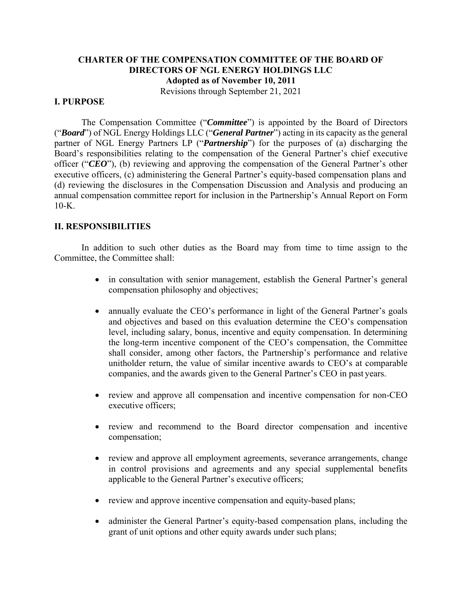# **CHARTER OF THE COMPENSATION COMMITTEE OF THE BOARD OF DIRECTORS OF NGL ENERGY HOLDINGS LLC Adopted as of November 10, 2011**

Revisions through September 21, 2021

## **I. PURPOSE**

The Compensation Committee ("*Committee*") is appointed by the Board of Directors ("*Board*") of NGL Energy Holdings LLC ("*General Partner*") acting in its capacity as the general partner of NGL Energy Partners LP ("*Partnership*") for the purposes of (a) discharging the Board's responsibilities relating to the compensation of the General Partner's chief executive officer ("*CEO*"), (b) reviewing and approving the compensation of the General Partner's other executive officers, (c) administering the General Partner's equity-based compensation plans and (d) reviewing the disclosures in the Compensation Discussion and Analysis and producing an annual compensation committee report for inclusion in the Partnership's Annual Report on Form  $10-K$ .

### **II. RESPONSIBILITIES**

In addition to such other duties as the Board may from time to time assign to the Committee, the Committee shall:

- in consultation with senior management, establish the General Partner's general compensation philosophy and objectives;
- annually evaluate the CEO's performance in light of the General Partner's goals and objectives and based on this evaluation determine the CEO's compensation level, including salary, bonus, incentive and equity compensation. In determining the long-term incentive component of the CEO's compensation, the Committee shall consider, among other factors, the Partnership's performance and relative unitholder return, the value of similar incentive awards to CEO's at comparable companies, and the awards given to the General Partner's CEO in past years.
- review and approve all compensation and incentive compensation for non-CEO executive officers;
- review and recommend to the Board director compensation and incentive compensation;
- review and approve all employment agreements, severance arrangements, change in control provisions and agreements and any special supplemental benefits applicable to the General Partner's executive officers;
- review and approve incentive compensation and equity-based plans;
- administer the General Partner's equity-based compensation plans, including the grant of unit options and other equity awards under such plans;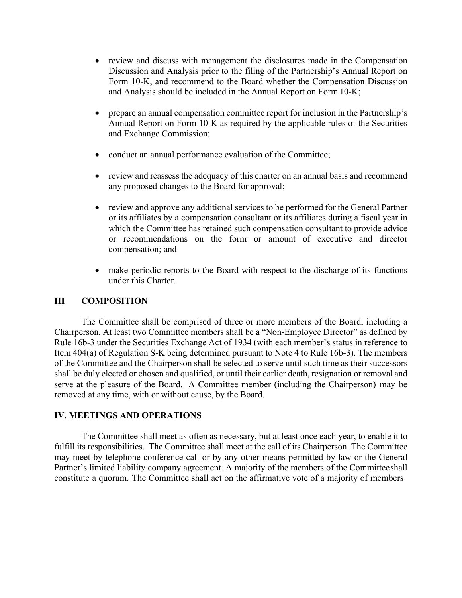- review and discuss with management the disclosures made in the Compensation Discussion and Analysis prior to the filing of the Partnership's Annual Report on Form 10-K, and recommend to the Board whether the Compensation Discussion and Analysis should be included in the Annual Report on Form 10-K;
- prepare an annual compensation committee report for inclusion in the Partnership's Annual Report on Form 10-K as required by the applicable rules of the Securities and Exchange Commission;
- conduct an annual performance evaluation of the Committee;
- review and reassess the adequacy of this charter on an annual basis and recommend any proposed changes to the Board for approval;
- review and approve any additional services to be performed for the General Partner or its affiliates by a compensation consultant or its affiliates during a fiscal year in which the Committee has retained such compensation consultant to provide advice or recommendations on the form or amount of executive and director compensation; and
- make periodic reports to the Board with respect to the discharge of its functions under this Charter.

## **III COMPOSITION**

The Committee shall be comprised of three or more members of the Board, including a Chairperson. At least two Committee members shall be a "Non-Employee Director" as defined by Rule 16b-3 under the Securities Exchange Act of 1934 (with each member's status in reference to Item 404(a) of Regulation S-K being determined pursuant to Note 4 to Rule 16b-3). The members of the Committee and the Chairperson shall be selected to serve until such time as their successors shall be duly elected or chosen and qualified, or until their earlier death, resignation or removal and serve at the pleasure of the Board. A Committee member (including the Chairperson) may be removed at any time, with or without cause, by the Board.

### **IV. MEETINGS AND OPERATIONS**

The Committee shall meet as often as necessary, but at least once each year, to enable it to fulfill its responsibilities. The Committee shall meet at the call of its Chairperson. The Committee may meet by telephone conference call or by any other means permitted by law or the General Partner's limited liability company agreement. A majority of the members of the Committee shall constitute a quorum. The Committee shall act on the affirmative vote of a majority of members